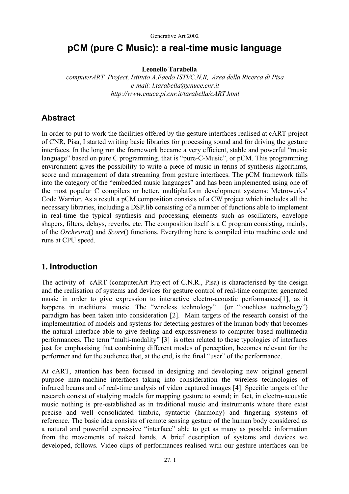# **pCM (pure C Music): a real-time music language**

**Leonello Tarabella** 

*computerART Project, Istituto A.Faedo ISTI/C.N.R, Area della Ricerca di Pisa e-mail: l.tarabella@cnuce.cnr.it http://www.cnuce.pi.cnr.it/tarabella/cART.html* 

## **Abstract**

In order to put to work the facilities offered by the gesture interfaces realised at cART project of CNR, Pisa, I started writing basic libraries for processing sound and for driving the gesture interfaces. In the long run the framework became a very efficient, stable and powerful "music language" based on pure C programming, that is "pure-C-Music", or pCM. This programming environment gives the possibility to write a piece of music in terms of synthesis algorithms, score and management of data streaming from gesture interfaces. The pCM framework falls into the category of the "embedded music languages" and has been implemented using one of the most popular C compilers or better, multiplatform development systems: Metrowerks' Code Warrior. As a result a pCM composition consists of a CW project which includes all the necessary libraries, including a DSP.lib consisting of a number of functions able to implement in real-time the typical synthesis and processing elements such as oscillators, envelope shapers, filters, delays, reverbs, etc. The composition itself is a C program consisting, mainly, of the *Orchestra*() and *Score*() functions. Everything here is compiled into machine code and runs at CPU speed.

## **1. Introduction**

The activity of cART (computerArt Project of C.N.R., Pisa) is characterised by the design and the realisation of systems and devices for gesture control of real-time computer generated music in order to give expression to interactive electro-acoustic performances[1], as it happens in traditional music. The "wireless technology" (or "touchless technology") paradigm has been taken into consideration [2]. Main targets of the research consist of the implementation of models and systems for detecting gestures of the human body that becomes the natural interface able to give feeling and expressiveness to computer based multimedia performances. The term "multi-modality" [3] is often related to these typologies of interfaces just for emphasising that combining different modes of perception, becomes relevant for the performer and for the audience that, at the end, is the final "user" of the performance.

At cART, attention has been focused in designing and developing new original general purpose man-machine interfaces taking into consideration the wireless technologies of infrared beams and of real-time analysis of video captured images [4]. Specific targets of the research consist of studying models for mapping gesture to sound; in fact, in electro-acoustic music nothing is pre-established as in traditional music and instruments where there exist precise and well consolidated timbric, syntactic (harmony) and fingering systems of reference. The basic idea consists of remote sensing gesture of the human body considered as a natural and powerful expressive "interface" able to get as many as possible information from the movements of naked hands. A brief description of systems and devices we developed, follows. Video clips of performances realised with our gesture interfaces can be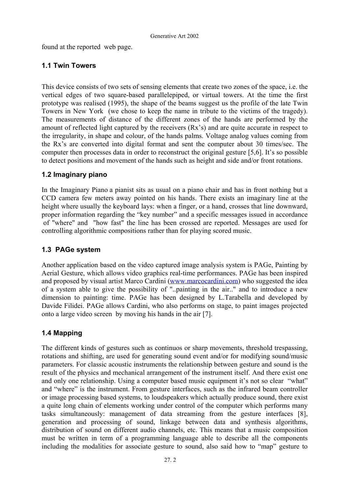found at the reported web page.

## **1.1 Twin Towers**

This device consists of two sets of sensing elements that create two zones of the space, i.e. the vertical edges of two square-based parallelepiped, or virtual towers. At the time the first prototype was realised (1995), the shape of the beams suggest us the profile of the late Twin Towers in New York (we chose to keep the name in tribute to the victims of the tragedy). The measurements of distance of the different zones of the hands are performed by the amount of reflected light captured by the receivers (Rx's) and are quite accurate in respect to the irregularity, in shape and colour, of the hands palms. Voltage analog values coming from the Rx's are converted into digital format and sent the computer about 30 times/sec. The computer then processes data in order to reconstruct the original gesture [5,6]. It's so possible to detect positions and movement of the hands such as height and side and/or front rotations.

### **1.2 Imaginary piano**

In the Imaginary Piano a pianist sits as usual on a piano chair and has in front nothing but a CCD camera few meters away pointed on his hands. There exists an imaginary line at the height where usually the keyboard lays: when a finger, or a hand, crosses that line downward, proper information regarding the "key number" and a specific messages issued in accordance of "where" and "how fast" the line has been crossed are reported. Messages are used for controlling algorithmic compositions rather than for playing scored music.

## **1.3 PAGe system**

Another application based on the video captured image analysis system is PAGe, Painting by Aerial Gesture, which allows video graphics real-time performances. PAGe has been inspired and proposed by visual artist Marco Cardini ([www.marcocardini.com\)](http://www.marcocardini.com/) who suggested the idea of a system able to give the possibility of "..painting in the air.." and to introduce a new dimension to painting: time. PAGe has been designed by L.Tarabella and developed by Davide Filidei. PAGe allows Cardini, who also performs on stage, to paint images projected onto a large video screen by moving his hands in the air [7].

## **1.4 Mapping**

The different kinds of gestures such as continuos or sharp movements, threshold trespassing, rotations and shifting, are used for generating sound event and/or for modifying sound/music parameters. For classic acoustic instruments the relationship between gesture and sound is the result of the physics and mechanical arrangement of the instrument itself. And there exist one and only one relationship. Using a computer based music equipment it's not so clear "what" and "where" is the instrument. From gesture interfaces, such as the infrared beam controller or image processing based systems, to loudspeakers which actually produce sound, there exist a quite long chain of elements working under control of the computer which performs many tasks simultaneously: management of data streaming from the gesture interfaces [8], generation and processing of sound, linkage between data and synthesis algorithms, distribution of sound on different audio channels, etc. This means that a music composition must be written in term of a programming language able to describe all the components including the modalities for associate gesture to sound, also said how to "map" gesture to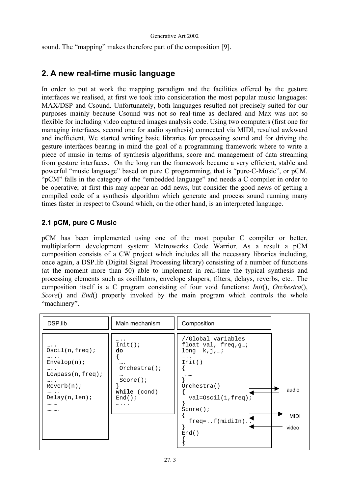sound. The "mapping" makes therefore part of the composition [9].

# **2. A new real-time music language**

In order to put at work the mapping paradigm and the facilities offered by the gesture interfaces we realised, at first we took into consideration the most popular music languages: MAX/DSP and Csound. Unfortunately, both languages resulted not precisely suited for our purposes mainly because Csound was not so real-time as declared and Max was not so flexible for including video captured images analysis code. Using two computers (first one for managing interfaces, second one for audio synthesis) connected via MIDI, resulted awkward and inefficient. We started writing basic libraries for processing sound and for driving the gesture interfaces bearing in mind the goal of a programming framework where to write a piece of music in terms of synthesis algorithms, score and management of data streaming from gesture interfaces. On the long run the framework became a very efficient, stable and powerful "music language" based on pure C programming, that is "pure-C-Music", or pCM. "pCM" falls in the category of the "embedded language" and needs a C compiler in order to be operative; at first this may appear an odd news, but consider the good news of getting a compiled code of a synthesis algorithm which generate and process sound running many times faster in respect to Csound which, on the other hand, is an interpreted language.

## **2.1 pCM, pure C Music**

pCM has been implemented using one of the most popular C compiler or better, multiplatform development system: Metrowerks Code Warrior. As a result a pCM composition consists of a CW project which includes all the necessary libraries including, once again, a DSP.lib (Digital Signal Processing library) consisting of a number of functions (at the moment more than 50) able to implement in real-time the typical synthesis and processing elements such as oscillators, envelope shapers, filters, delays, reverbs, etc.. The composition itself is a C program consisting of four void functions: *Init*(), *Orchestra*(), *Score*() and *End*() properly invoked by the main program which controls the whole "machinery".

| DSP.lib                                                                                                                                                   | Main mechanism                                                                                  | Composition                                                                                                                                                                |                               |
|-----------------------------------------------------------------------------------------------------------------------------------------------------------|-------------------------------------------------------------------------------------------------|----------------------------------------------------------------------------------------------------------------------------------------------------------------------------|-------------------------------|
| $\cdots$ .<br>$Oscil(n, freq)$ ;<br>$\cdots$<br>Envelop(n);<br>$\cdots$ .<br>$Lowpass(n, freq)$ ;<br>$\cdots$<br>Reverb(n);<br><br>Delay(n,len);<br><br>. | <br>Init()<br>do<br>$\cdots$<br>Orchestra()<br>$\cdots$<br>Score()<br>while (cond)<br>End()<br> | //Global variables<br>float val, freq, g;<br>$long$ $k,j,;$<br>$\cdots$<br>Init()<br><br>Orchestra()<br>$val = Oscil(1, freq)$ ;<br>Score()<br>$freq = f (midin)$<br>End() | audio<br><b>MIDI</b><br>video |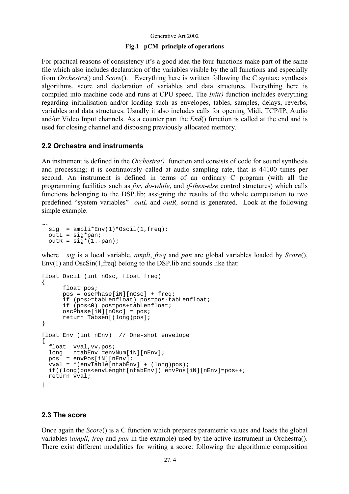#### Generative Art 2002

#### **Fig.1 pCM principle of operations**

For practical reasons of consistency it's a good idea the four functions make part of the same file which also includes declaration of the variables visible by the all functions and especially from *Orchestra*() and *Score*(). Everything here is written following the C syntax: synthesis algorithms, score and declaration of variables and data structures. Everything here is compiled into machine code and runs at CPU speed. The *Init()* function includes everything regarding initialisation and/or loading such as envelopes, tables, samples, delays, reverbs, variables and data structures. Usually it also includes calls for opening Midi, TCP/IP, Audio and/or Video Input channels. As a counter part the *End*() function is called at the end and is used for closing channel and disposing previously allocated memory.

### **2.2 Orchestra and instruments**

An instrument is defined in the *Orchestra()* function and consists of code for sound synthesis and processing; it is continuously called at audio sampling rate, that is 44100 times per second. An instrument is defined in terms of an ordinary C program (with all the programming facilities such as *for*, *do-while*, and *if-then-else* control structures) which calls functions belonging to the DSP.lib; assigning the results of the whole computation to two predefined "system variables" *outL* and *outR,* sound is generated. Look at the following simple example.

```
…. 
 sig = amplit*Env(1)*Oscil(1,freq);outL = sig * pan;outR = sig*(1,-pan);
```
where *sig* is a local variable, *ampli*, *freq* and *pan* are global variables loaded by *Score*(),  $Env(1)$  and  $OscSin(1, freq)$  belong to the DSP. lib and sounds like that:

```
float Oscil (int nOsc, float freq) 
{ 
       float pos; 
      pos = oscPhase[iN][nOsc] + freq; 
      if (pos>=tabLenfloat) pos=pos-tabLenfloat; 
      if (pos<0) pos=pos+tabLenfloat; 
      oscPhase[iN][nOsc] = pos; 
       return Tabsen[(long)pos]; 
} 
float Env (int nEnv) // One-shot envelope 
{ 
   float vval,vv,pos; 
   long ntabEnv =envNum[iN][nEnv]; 
   pos = envPos[iN][nEnv]; 
   vval = *(envTable[ntabEnv] + (long)pos); 
   if((long)pos<envLenght[ntabEnv]) envPos[iN][nEnv]=pos++; 
  return vval; 
}
```
### **2.3 The score**

Once again the *Score*() is a C function which prepares parametric values and loads the global variables (*ampli*, *freq* and *pan* in the example) used by the active instrument in Orchestra(). There exist different modalities for writing a score: following the algorithmic composition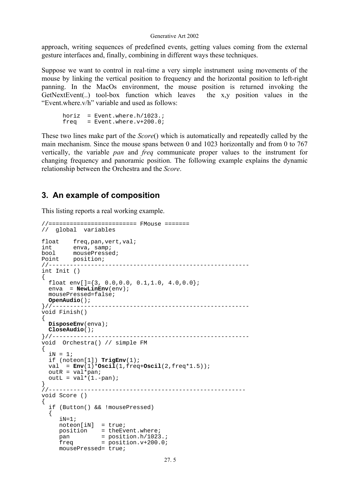approach, writing sequences of predefined events, getting values coming from the external gesture interfaces and, finally, combining in different ways these techniques.

Suppose we want to control in real-time a very simple instrument using movements of the mouse by linking the vertical position to frequency and the horizontal position to left-right panning. In the MacOs environment, the mouse position is returned invoking the GetNextEvent(..) tool-box function which leaves the x,y position values in the "Event.where.v/h" variable and used as follows:

```
horiz = Event.where.h/1023.;
freq = Event.where.v+200.0;
```
These two lines make part of the *Score*() which is automatically and repeatedly called by the main mechanism. Since the mouse spans between 0 and 1023 horizontally and from 0 to 767 vertically, the variable *pan* and *freq* communicate proper values to the instrument for changing frequency and panoramic position. The following example explains the dynamic relationship between the Orchestra and the *Score*.

## **3. An example of composition**

This listing reports a real working example.

```
//========================= FMouse ======= 
// global variables 
float freq, pan, vert, val;<br>int enva, samp;
int enva, samp; 
bool mousePressed; 
Point position;<br>//----------------
                        //--------------------------------------------------------- 
int Init () 
{ 
  float env[]=\{3, 0.0, 0.0, 0.1, 1.0, 4.0, 0.0\};
  enva = NewLinenv(env); mousePressed=false; 
OpenAudio();<br>}//-----------
                  }//-------------------------------------------------------- 
void Finish() 
{ 
   DisposeEnv(enva); 
  CloseAudio(); 
}//-------------------------------------------------------- 
void Orchestra() // simple FM 
{ 
  iN = 1; if (noteon[1]) TrigEnv(1); 
   val = Env(1)*Oscil(1,freq+Oscil(2,freq*1.5)); 
  outR = val*pan;outL = val*(1.-pan);} 
//-------------------------------------------------------- 
void Score () 
{ 
   if (Button() && !mousePressed) 
   { 
      iN=1;
     \bar{x} noteon[iN] = true;
     position = theEvent.where;<br>pan = position.h/1023.;
     {\rm freq} = {\rm position.v+200.07} mousePressed= true;
```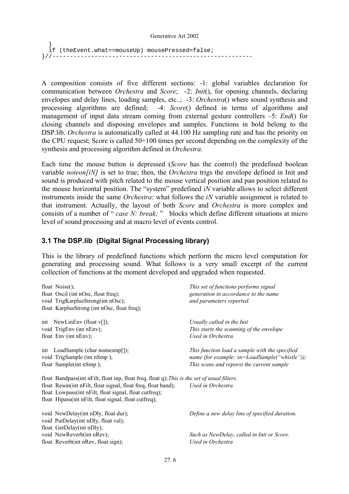```
 } 
 if (theEvent.what==mouseUp) mousePressed=false; 
}//---------------------------------------------------------
```
A composition consists of five different sections: -1: global variables declaration for communication between *Orchestra* and *Score*; -2: *Init*(), for opening channels, declaring envelopes and delay lines, loading samples, etc..; -3: *Orchestra*() where sound synthesis and processing algorithms are defined; -4: *Score*() defined in terms of algorithms and management of input data stream coming from external gesture controllers –5: *End*() for closing channels and disposing envelopes and samples. Functions in bold belong to the DSP.lib. *Orchestra* is automatically called at 44.100 Hz sampling rate and has the priority on the CPU request; Score is called 50÷100 times per second depending on the complexity of the synthesis and processing algorithm defined in *Orchestra*.

Each time the mouse button is depressed (*Score* has the control) the predefined boolean variable *noteon[iN]* is set to true; then, the *Orchestra* trigs the envelope defined in Init and sound is produced with pitch related to the mouse vertical position and pan position related to the mouse horizontal position. The "system" predefined *iN* variable allows to select different instruments inside the same *Orchestra*: what follows the *iN* variable assignment is related to that instrument. Actually, the layout of both *Score* and *Orchestra* is more complex and consists of a number of " *case N: break;* " blocks which define different situations at micro level of sound processing and at macro level of events control.

### **3.1 The DSP.lib (Digital Signal Processing library)**

This is the library of predefined functions which perform the micro level computation for generating and processing sound. What follows is a very small excerpt of the current collection of functions at the moment developed and upgraded when requested.

| float $Noise()$ ;                                                                            | This set of functions performs signal          |  |
|----------------------------------------------------------------------------------------------|------------------------------------------------|--|
| float Oscil (int nOsc, float freq);                                                          | generation in accordance to the name           |  |
| void TrigKarplusStrong(int nOsc);                                                            | and parameters reported.                       |  |
| float KarplusStrong (int nOsc, float freq);                                                  |                                                |  |
| int NewLinEnv (float $v[$ ]);                                                                | Usually called in the Init                     |  |
| void TrigEnv (int nEnv);                                                                     | This starts the scanning of the envelope       |  |
| float Env (int nEnv);                                                                        | Used in Orchestra.                             |  |
| int LoadSample (char nomesmp[]);                                                             | This function load a sample with the specified |  |
| void TrigSample (int nSmp);                                                                  | name (for example: sn=LoadSample("whistle"));  |  |
| float Sample(int nSmp);                                                                      | This scans and reporst the current sample      |  |
| float Bandpass(int nFilt, float inp, float freq, float q); This is the set of usual filters. |                                                |  |
| float Reson(int nFilt, float signal, float freq, float band);                                | Used in Orchestra                              |  |
| float Lowpass(int nFilt, float signal, float cutfreq);                                       |                                                |  |
| float Hipass(int nFilt, float signal, float cutfreq);                                        |                                                |  |
| void NewDelay(int nDly, float dur);                                                          | Define a new delay line of specified duration. |  |
| void PutDelay(int nDly, float val);                                                          |                                                |  |
| float GetDelay(int nDly);                                                                    |                                                |  |
| void NewReverb(int nRev);                                                                    | Such as NewDelay, called in Init or Score.     |  |
| float Reverb(int nRev, float sign);                                                          | Used in Orchestra                              |  |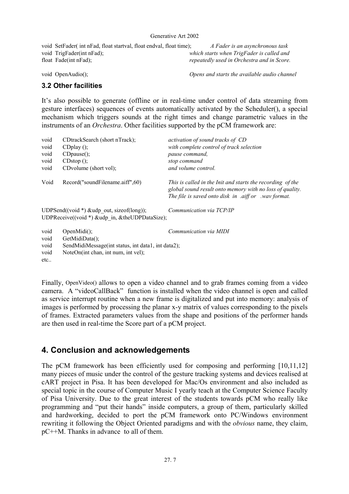void SetFader( int nFad, float startval, float endval, float time); *A Fader is an asynchronous task* void TrigFader(int nFad); *which starts when TrigFader is called and* float Fade(int nFad); *repeatedly used in Orchestra and in Score.* 

void OpenAudio(); *Opens and starts the available audio channel*

### **3.2 Other facilities**

It's also possible to generate (offline or in real-time under control of data streaming from gesture interfaces) sequences of events automatically activated by the Scheduler(), a special mechanism which triggers sounds at the right times and change parametric values in the instruments of an *Orchestra*. Other facilities supported by the pCM framework are:

| void         | CDtrackSearch (short nTrack);                                                                      | activation of sound tracks of CD                                                                                                                                                               |
|--------------|----------------------------------------------------------------------------------------------------|------------------------------------------------------------------------------------------------------------------------------------------------------------------------------------------------|
| void         | $CDplay()$ ;                                                                                       | with complete control of track selection                                                                                                                                                       |
| void         | $CD$ pause $()$ ;                                                                                  | pause command,                                                                                                                                                                                 |
| void         | $\text{CDstop}( \cdot )$ ;                                                                         | stop command                                                                                                                                                                                   |
| void         | CDvolume (short vol);                                                                              | and volume control.                                                                                                                                                                            |
| Void         | Record("soundFilename.aiff",60)                                                                    | This is called in the Init and starts the recording of the<br>global sound result onto memory with no loss of quality.<br>The file is saved onto disk in $\alpha$ aiff or $\alpha$ wav format. |
|              | UDPSend((void $*$ ) &udp_out, size of(long));<br>UDPReceive((void $*$ ) &udp in, &theUDPDataSize); | Communication via TCP/IP                                                                                                                                                                       |
| void<br>void | $OpenMidi()$ ;<br>GetMidiData();                                                                   | Communication via MIDI                                                                                                                                                                         |
| void         | SendMidiMessage (int status, int data1, int data2);                                                |                                                                                                                                                                                                |
| void         | NoteOn(int chan, int num, int vel);                                                                |                                                                                                                                                                                                |
| etc          |                                                                                                    |                                                                                                                                                                                                |

Finally, OpenVideo() allows to open a video channel and to grab frames coming from a video camera. A "videoCallBack" function is installed when the video channel is open and called as service interrupt routine when a new frame is digitalized and put into memory: analysis of images is performed by processing the planar x-y matrix of values corresponding to the pixels of frames. Extracted parameters values from the shape and positions of the performer hands are then used in real-time the Score part of a pCM project.

# **4. Conclusion and acknowledgements**

The pCM framework has been efficiently used for composing and performing [10,11,12] many pieces of music under the control of the gesture tracking systems and devices realised at cART project in Pisa. It has been developed for Mac/Os environment and also included as special topic in the course of Computer Music I yearly teach at the Computer Science Faculty of Pisa University. Due to the great interest of the students towards pCM who really like programming and "put their hands" inside computers, a group of them, particularly skilled and hardworking, decided to port the pCM framework onto PC/Windows environment rewriting it following the Object Oriented paradigms and with the *obvious* name, they claim, pC++M. Thanks in advance to all of them.